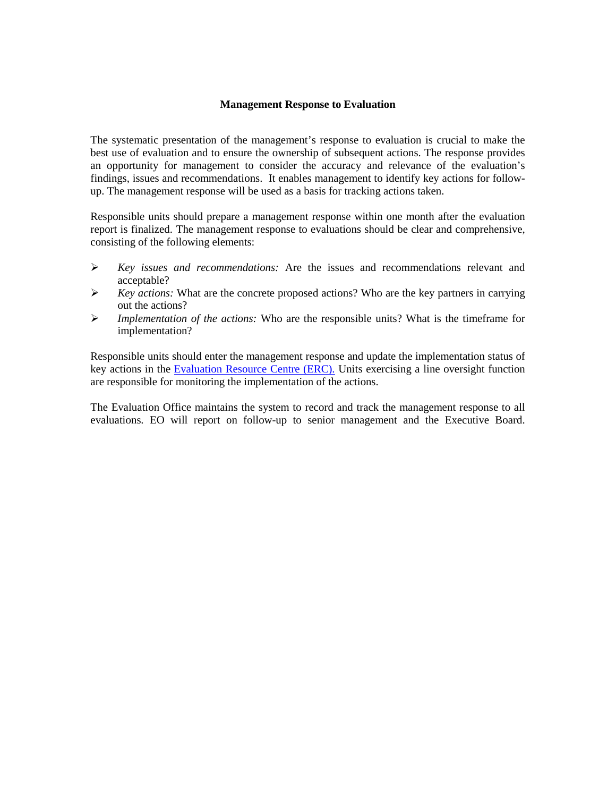## **Management Response to Evaluation**

The systematic presentation of the management's response to evaluation is crucial to make the best use of evaluation and to ensure the ownership of subsequent actions. The response provides an opportunity for management to consider the accuracy and relevance of the evaluation's findings, issues and recommendations. It enables management to identify key actions for followup. The management response will be used as a basis for tracking actions taken.

Responsible units should prepare a management response within one month after the evaluation report is finalized. The management response to evaluations should be clear and comprehensive, consisting of the following elements:

- *Key issues and recommendations:* Are the issues and recommendations relevant and acceptable?
- *Key actions:* What are the concrete proposed actions? Who are the key partners in carrying out the actions?
- *Implementation of the actions:* Who are the responsible units? What is the timeframe for implementation?

Responsible units should enter the management response and update the implementation status of key actions in the [Evaluation Resource Centre \(ERC\).](http://erc.undp.org/index.aspx?module=Intra) Units exercising a line oversight function are responsible for monitoring the implementation of the actions.

The Evaluation Office maintains the system to record and track the management response to all evaluations. EO will report on follow-up to senior management and the Executive Board.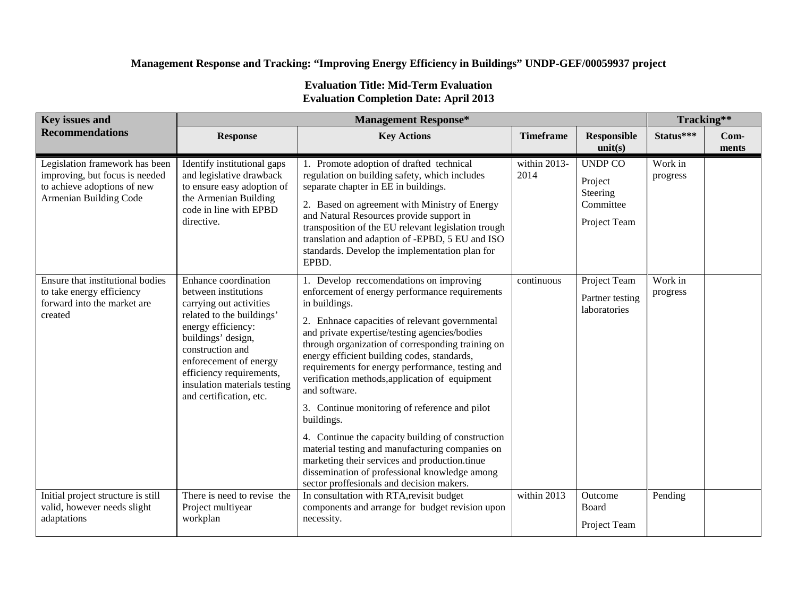## **Management Response and Tracking: "Improving Energy Efficiency in Buildings" UNDP-GEF/00059937 project**

## **Evaluation Title: Mid-Term Evaluation Evaluation Completion Date: April 2013**

| <b>Key issues and</b>                                                                                                     | <b>Management Response*</b>                                                                                                                                                                                                                                                           |                                                                                                                                                                                                                                                                                                                                                                                                                                                                                                                                                                                                                                                                                                                                                                |                                 |                                                                    |                     | Tracking**      |  |
|---------------------------------------------------------------------------------------------------------------------------|---------------------------------------------------------------------------------------------------------------------------------------------------------------------------------------------------------------------------------------------------------------------------------------|----------------------------------------------------------------------------------------------------------------------------------------------------------------------------------------------------------------------------------------------------------------------------------------------------------------------------------------------------------------------------------------------------------------------------------------------------------------------------------------------------------------------------------------------------------------------------------------------------------------------------------------------------------------------------------------------------------------------------------------------------------------|---------------------------------|--------------------------------------------------------------------|---------------------|-----------------|--|
| <b>Recommendations</b>                                                                                                    | <b>Response</b>                                                                                                                                                                                                                                                                       | <b>Key Actions</b>                                                                                                                                                                                                                                                                                                                                                                                                                                                                                                                                                                                                                                                                                                                                             | <b>Timeframe</b>                | <b>Responsible</b><br>unit(s)                                      | Status***           | $Com-$<br>ments |  |
| Legislation framework has been<br>improving, but focus is needed<br>to achieve adoptions of new<br>Armenian Building Code | Identify institutional gaps<br>and legislative drawback<br>to ensure easy adoption of<br>the Armenian Building<br>code in line with EPBD<br>directive.                                                                                                                                | 1. Promote adoption of drafted technical<br>regulation on building safety, which includes<br>separate chapter in EE in buildings.<br>2. Based on agreement with Ministry of Energy<br>and Natural Resources provide support in<br>transposition of the EU relevant legislation trough<br>translation and adaption of -EPBD, 5 EU and ISO<br>standards. Develop the implementation plan for<br>EPBD.                                                                                                                                                                                                                                                                                                                                                            | within 2013-<br>2014            | <b>UNDP CO</b><br>Project<br>Steering<br>Committee<br>Project Team | Work in<br>progress |                 |  |
| Ensure that institutional bodies<br>to take energy efficiency<br>forward into the market are<br>created                   | Enhance coordination<br>between institutions<br>carrying out activities<br>related to the buildings'<br>energy efficiency:<br>buildings' design,<br>construction and<br>enforecement of energy<br>efficiency requirements,<br>insulation materials testing<br>and certification, etc. | 1. Develop reccomendations on improving<br>enforcement of energy performance requirements<br>in buildings.<br>2. Enhnace capacities of relevant governmental<br>and private expertise/testing agencies/bodies<br>through organization of corresponding training on<br>energy efficient building codes, standards,<br>requirements for energy performance, testing and<br>verification methods, application of equipment<br>and software.<br>3. Continue monitoring of reference and pilot<br>buildings.<br>4. Continue the capacity building of construction<br>material testing and manufacturing companies on<br>marketing their services and production.tinue<br>dissemination of professional knowledge among<br>sector proffesionals and decision makers. | continuous                      | Project Team<br>Partner testing<br>laboratories                    | Work in<br>progress |                 |  |
| Initial project structure is still<br>valid, however needs slight<br>adaptations                                          | There is need to revise the<br>Project multiyear<br>workplan                                                                                                                                                                                                                          | In consultation with RTA, revisit budget<br>components and arrange for budget revision upon<br>necessity.                                                                                                                                                                                                                                                                                                                                                                                                                                                                                                                                                                                                                                                      | $\overline{\text{within}}$ 2013 | Outcome<br>Board<br>Project Team                                   | Pending             |                 |  |